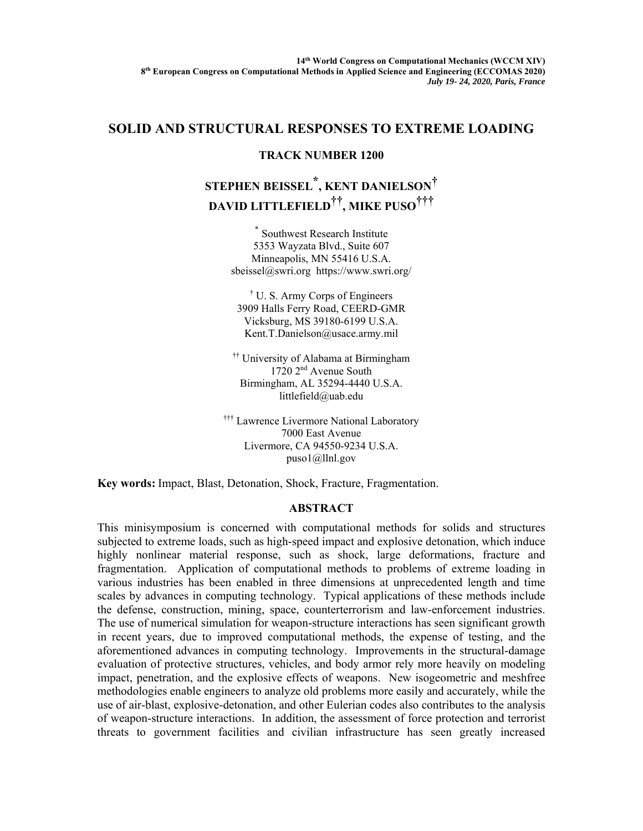## **SOLID AND STRUCTURAL RESPONSES TO EXTREME LOADING**

## **TRACK NUMBER 1200**

## **STEPHEN BEISSEL\* , KENT DANIELSON† DAVID LITTLEFIELD††, MIKE PUSO†††**

\* Southwest Research Institute 5353 Wayzata Blvd., Suite 607 Minneapolis, MN 55416 U.S.A. sbeissel@swri.org https://www.swri.org/

† U. S. Army Corps of Engineers 3909 Halls Ferry Road, CEERD-GMR Vicksburg, MS 39180-6199 U.S.A. Kent.T.Danielson@usace.army.mil

†† University of Alabama at Birmingham 1720 2nd Avenue South Birmingham, AL 35294-4440 U.S.A. littlefield@uab.edu

††† Lawrence Livermore National Laboratory 7000 East Avenue Livermore, CA 94550-9234 U.S.A. puso1@llnl.gov

**Key words:** Impact, Blast, Detonation, Shock, Fracture, Fragmentation.

## **ABSTRACT**

This minisymposium is concerned with computational methods for solids and structures subjected to extreme loads, such as high-speed impact and explosive detonation, which induce highly nonlinear material response, such as shock, large deformations, fracture and fragmentation. Application of computational methods to problems of extreme loading in various industries has been enabled in three dimensions at unprecedented length and time scales by advances in computing technology. Typical applications of these methods include the defense, construction, mining, space, counterterrorism and law-enforcement industries. The use of numerical simulation for weapon-structure interactions has seen significant growth in recent years, due to improved computational methods, the expense of testing, and the aforementioned advances in computing technology. Improvements in the structural-damage evaluation of protective structures, vehicles, and body armor rely more heavily on modeling impact, penetration, and the explosive effects of weapons. New isogeometric and meshfree methodologies enable engineers to analyze old problems more easily and accurately, while the use of air-blast, explosive-detonation, and other Eulerian codes also contributes to the analysis of weapon-structure interactions. In addition, the assessment of force protection and terrorist threats to government facilities and civilian infrastructure has seen greatly increased